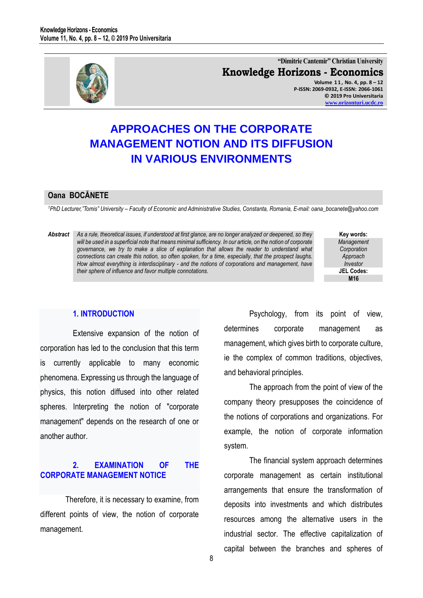

**"Dimitrie Cantemir" Christian University Knowledge Horizons - Economics Volume 1 1 , No. 4, pp. 8 – 12 P-ISSN: 2069-0932, E-ISSN: 2066-1061 © 2019 Pro Universitaria [www.orizonturi.ucdc.ro](http://www.orizonturi.ucdc.ro/)**

# **APPROACHES ON THE CORPORATE MANAGEMENT NOTION AND ITS DIFFUSION IN VARIOUS ENVIRONMENTS**

### **Oana BOCĂNETE**

*<sup>1</sup>PhD Lecturer,"Tomis" University – Faculty of Economic and Administrative Studies, Constanta, Romania, E-mail: oana\_bocanete@yahoo.com* 

*Abstract As a rule, theoretical issues, if understood at first glance, are no longer analyzed or deepened, so they will be used in a superficial note that means minimal sufficiency. In our article, on the notion of corporate governance, we try to make a slice of explanation that allows the reader to understand what connections can create this notion, so often spoken, for a time, especially, that the prospect laughs. How almost everything is interdisciplinary - and the notions of corporations and management, have their sphere of influence and favor multiple connotations.* 

**Key words:** *Management Corporation Approach Investor* **JEL Codes: M16**

### **1. INTRODUCTION**

Extensive expansion of the notion of corporation has led to the conclusion that this term is currently applicable to many economic phenomena. Expressing us through the language of physics, this notion diffused into other related spheres. Interpreting the notion of "corporate management" depends on the research of one or another author.

## **2. EXAMINATION OF THE CORPORATE MANAGEMENT NOTICE**

Therefore, it is necessary to examine, from different points of view, the notion of corporate management.

Psychology, from its point of view, determines corporate management as management, which gives birth to corporate culture, ie the complex of common traditions, objectives, and behavioral principles.

The approach from the point of view of the company theory presupposes the coincidence of the notions of corporations and organizations. For example, the notion of corporate information system.

The financial system approach determines corporate management as certain institutional arrangements that ensure the transformation of deposits into investments and which distributes resources among the alternative users in the industrial sector. The effective capitalization of capital between the branches and spheres of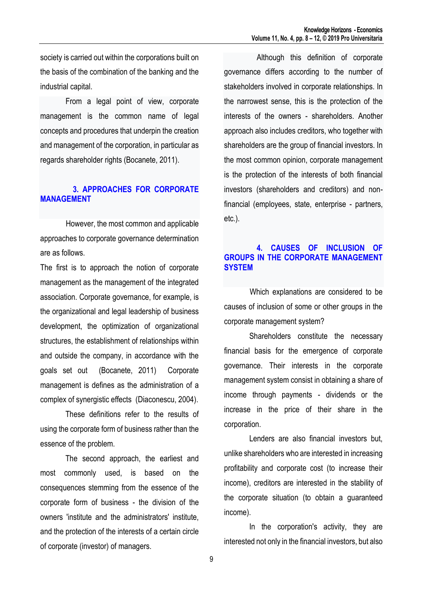society is carried out within the corporations built on the basis of the combination of the banking and the industrial capital.

 From a legal point of view, corporate management is the common name of legal concepts and procedures that underpin the creation and management of the corporation, in particular as regards shareholder rights (Bocanete, 2011).

# **3. APPROACHES FOR CORPORATE MANAGEMENT**

However, the most common and applicable approaches to corporate governance determination are as follows.

The first is to approach the notion of corporate management as the management of the integrated association. Corporate governance, for example, is the organizational and legal leadership of business development, the optimization of organizational structures, the establishment of relationships within and outside the company, in accordance with the goals set out (Bocanete, 2011) Corporate management is defines as the administration of a complex of synergistic effects (Diaconescu, 2004).

These definitions refer to the results of using the corporate form of business rather than the essence of the problem.

The second approach, the earliest and most commonly used, is based on the consequences stemming from the essence of the corporate form of business - the division of the owners 'institute and the administrators' institute, and the protection of the interests of a certain circle of corporate (investor) of managers.

Although this definition of corporate governance differs according to the number of stakeholders involved in corporate relationships. In the narrowest sense, this is the protection of the interests of the owners - shareholders. Another approach also includes creditors, who together with shareholders are the group of financial investors. In the most common opinion, corporate management is the protection of the interests of both financial investors (shareholders and creditors) and nonfinancial (employees, state, enterprise - partners, etc.).

## **4. CAUSES OF INCLUSION OF GROUPS IN THE CORPORATE MANAGEMENT SYSTEM**

Which explanations are considered to be causes of inclusion of some or other groups in the corporate management system?

Shareholders constitute the necessary financial basis for the emergence of corporate governance. Their interests in the corporate management system consist in obtaining a share of income through payments - dividends or the increase in the price of their share in the corporation.

Lenders are also financial investors but, unlike shareholders who are interested in increasing profitability and corporate cost (to increase their income), creditors are interested in the stability of the corporate situation (to obtain a guaranteed income).

In the corporation's activity, they are interested not only in the financial investors, but also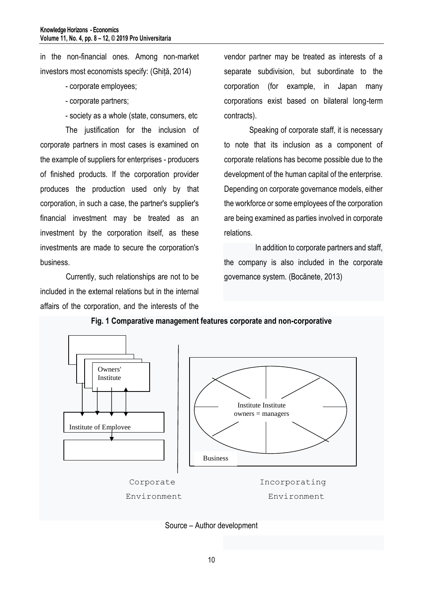in the non-financial ones. Among non-market investors most economists specify: (Ghiță, 2014)

- corporate employees;
- corporate partners;
- society as a whole (state, consumers, etc

The justification for the inclusion of corporate partners in most cases is examined on the example of suppliers for enterprises - producers of finished products. If the corporation provider produces the production used only by that corporation, in such a case, the partner's supplier's financial investment may be treated as an investment by the corporation itself, as these investments are made to secure the corporation's business.

Currently, such relationships are not to be included in the external relations but in the internal affairs of the corporation, and the interests of the

vendor partner may be treated as interests of a separate subdivision, but subordinate to the corporation (for example, in Japan many corporations exist based on bilateral long-term contracts).

Speaking of corporate staff, it is necessary to note that its inclusion as a component of corporate relations has become possible due to the development of the human capital of the enterprise. Depending on corporate governance models, either the workforce or some employees of the corporation are being examined as parties involved in corporate relations.

 In addition to corporate partners and staff, the company is also included in the corporate governance system. (Bocănete, 2013)



**Fig. 1 Comparative management features corporate and non-corporative**

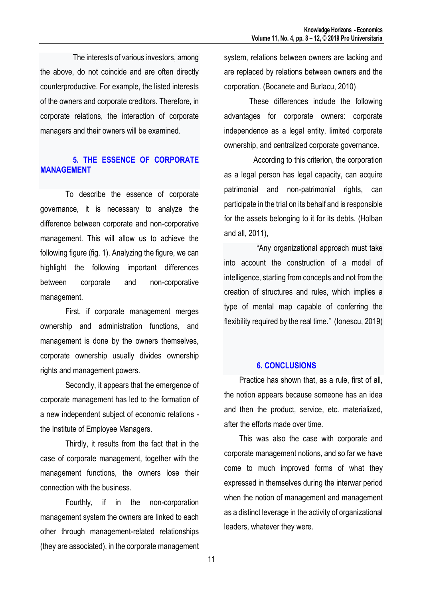The interests of various investors, among the above, do not coincide and are often directly counterproductive. For example, the listed interests of the owners and corporate creditors. Therefore, in corporate relations, the interaction of corporate managers and their owners will be examined.

# **5. THE ESSENCE OF CORPORATE MANAGEMENT**

To describe the essence of corporate governance, it is necessary to analyze the difference between corporate and non-corporative management. This will allow us to achieve the following figure (fig. 1). Analyzing the figure, we can highlight the following important differences between corporate and non-corporative management.

First, if corporate management merges ownership and administration functions, and management is done by the owners themselves, corporate ownership usually divides ownership rights and management powers.

Secondly, it appears that the emergence of corporate management has led to the formation of a new independent subject of economic relations the Institute of Employee Managers.

Thirdly, it results from the fact that in the case of corporate management, together with the management functions, the owners lose their connection with the business.

Fourthly, if in the non-corporation management system the owners are linked to each other through management-related relationships (they are associated), in the corporate management

system, relations between owners are lacking and are replaced by relations between owners and the corporation. (Bocanete and Burlacu, 2010)

These differences include the following advantages for corporate owners: corporate independence as a legal entity, limited corporate ownership, and centralized corporate governance.

 According to this criterion, the corporation as a legal person has legal capacity, can acquire patrimonial and non-patrimonial rights, can participate in the trial on its behalf and is responsible for the assets belonging to it for its debts. (Holban and all, 2011),

"Any organizational approach must take into account the construction of a model of intelligence, starting from concepts and not from the creation of structures and rules, which implies a type of mental map capable of conferring the flexibility required by the real time." (Ionescu, 2019)

### **6. CONCLUSIONS**

Practice has shown that, as a rule, first of all, the notion appears because someone has an idea and then the product, service, etc. materialized, after the efforts made over time.

This was also the case with corporate and corporate management notions, and so far we have come to much improved forms of what they expressed in themselves during the interwar period when the notion of management and management as a distinct leverage in the activity of organizational leaders, whatever they were.